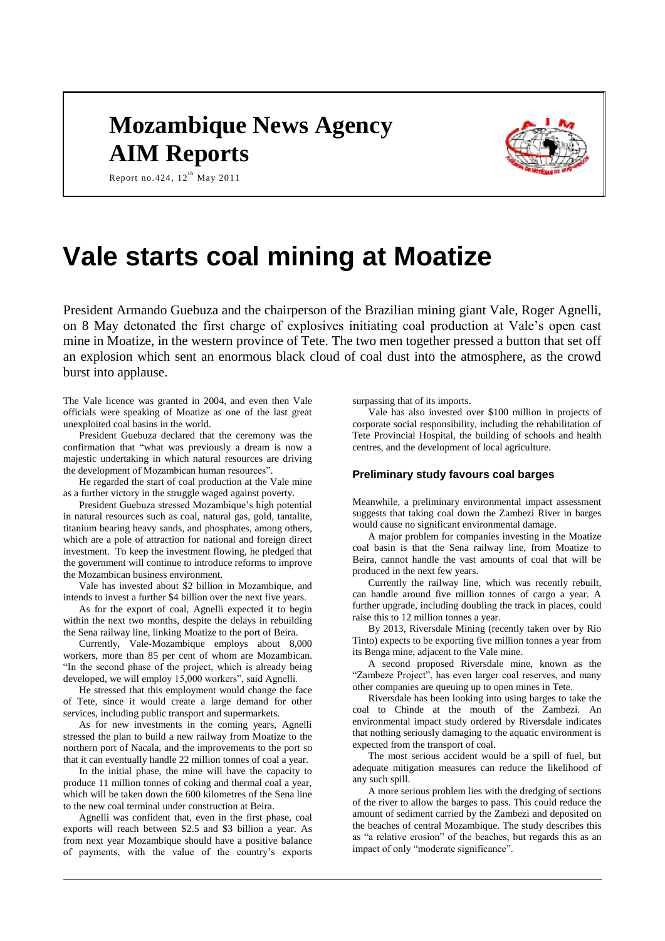# **Mozambique News Agency AIM Reports**



Report no.424,  $12^{th}$  May 2011

# **Vale starts coal mining at Moatize**

President Armando Guebuza and the chairperson of the Brazilian mining giant Vale, Roger Agnelli, on 8 May detonated the first charge of explosives initiating coal production at Vale's open cast mine in Moatize, in the western province of Tete. The two men together pressed a button that set off an explosion which sent an enormous black cloud of coal dust into the atmosphere, as the crowd burst into applause.

The Vale licence was granted in 2004, and even then Vale officials were speaking of Moatize as one of the last great unexploited coal basins in the world.

President Guebuza declared that the ceremony was the confirmation that "what was previously a dream is now a majestic undertaking in which natural resources are driving the development of Mozambican human resources".

He regarded the start of coal production at the Vale mine as a further victory in the struggle waged against poverty.

President Guebuza stressed Mozambique's high potential in natural resources such as coal, natural gas, gold, tantalite, titanium bearing heavy sands, and phosphates, among others, which are a pole of attraction for national and foreign direct investment. To keep the investment flowing, he pledged that the government will continue to introduce reforms to improve the Mozambican business environment.

Vale has invested about \$2 billion in Mozambique, and intends to invest a further \$4 billion over the next five years.

As for the export of coal, Agnelli expected it to begin within the next two months, despite the delays in rebuilding the Sena railway line, linking Moatize to the port of Beira.

Currently, Vale-Mozambique employs about 8,000 workers, more than 85 per cent of whom are Mozambican. "In the second phase of the project, which is already being developed, we will employ 15,000 workers", said Agnelli.

He stressed that this employment would change the face of Tete, since it would create a large demand for other services, including public transport and supermarkets.

As for new investments in the coming years, Agnelli stressed the plan to build a new railway from Moatize to the northern port of Nacala, and the improvements to the port so that it can eventually handle 22 million tonnes of coal a year.

In the initial phase, the mine will have the capacity to produce 11 million tonnes of coking and thermal coal a year, which will be taken down the 600 kilometres of the Sena line to the new coal terminal under construction at Beira.

Agnelli was confident that, even in the first phase, coal exports will reach between \$2.5 and \$3 billion a year. As from next year Mozambique should have a positive balance of payments, with the value of the country's exports

surpassing that of its imports.

Vale has also invested over \$100 million in projects of corporate social responsibility, including the rehabilitation of Tete Provincial Hospital, the building of schools and health centres, and the development of local agriculture.

#### **Preliminary study favours coal barges**

Meanwhile, a preliminary environmental impact assessment suggests that taking coal down the Zambezi River in barges would cause no significant environmental damage.

A major problem for companies investing in the Moatize coal basin is that the Sena railway line, from Moatize to Beira, cannot handle the vast amounts of coal that will be produced in the next few years.

Currently the railway line, which was recently rebuilt, can handle around five million tonnes of cargo a year. A further upgrade, including doubling the track in places, could raise this to 12 million tonnes a year.

By 2013, Riversdale Mining (recently taken over by Rio Tinto) expects to be exporting five million tonnes a year from its Benga mine, adjacent to the Vale mine.

A second proposed Riversdale mine, known as the "Zambeze Project", has even larger coal reserves, and many other companies are queuing up to open mines in Tete.

Riversdale has been looking into using barges to take the coal to Chinde at the mouth of the Zambezi. An environmental impact study ordered by Riversdale indicates that nothing seriously damaging to the aquatic environment is expected from the transport of coal.

The most serious accident would be a spill of fuel, but adequate mitigation measures can reduce the likelihood of any such spill.

A more serious problem lies with the dredging of sections of the river to allow the barges to pass. This could reduce the amount of sediment carried by the Zambezi and deposited on the beaches of central Mozambique. The study describes this as "a relative erosion" of the beaches, but regards this as an impact of only "moderate significance".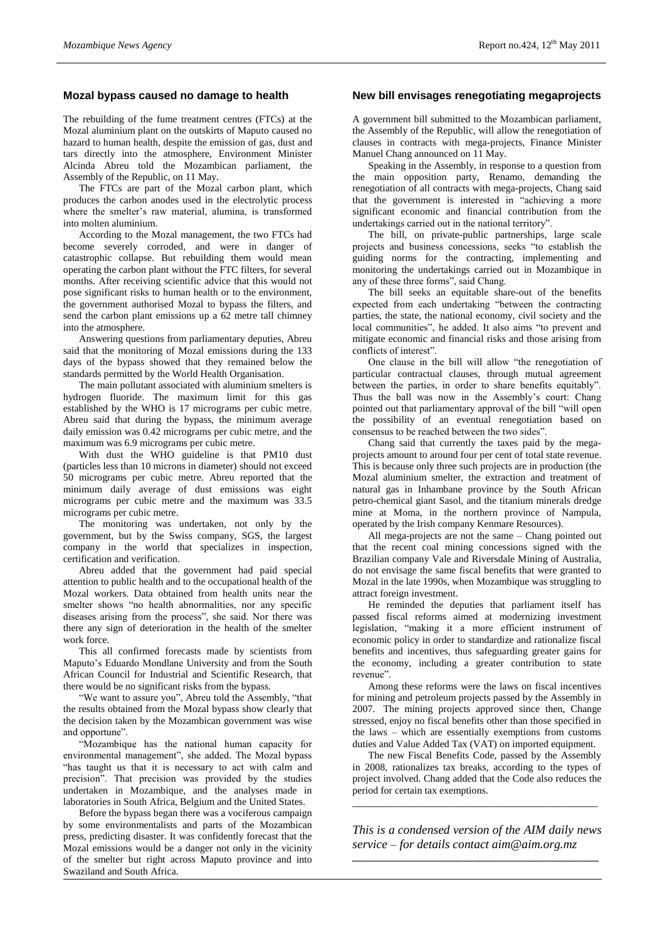# **Mozal bypass caused no damage to health**

The rebuilding of the fume treatment centres (FTCs) at the Mozal aluminium plant on the outskirts of Maputo caused no hazard to human health, despite the emission of gas, dust and tars directly into the atmosphere, Environment Minister Alcinda Abreu told the Mozambican parliament, the Assembly of the Republic, on 11 May.

The FTCs are part of the Mozal carbon plant, which produces the carbon anodes used in the electrolytic process where the smelter's raw material, alumina, is transformed into molten aluminium.

According to the Mozal management, the two FTCs had become severely corroded, and were in danger of catastrophic collapse. But rebuilding them would mean operating the carbon plant without the FTC filters, for several months. After receiving scientific advice that this would not pose significant risks to human health or to the environment, the government authorised Mozal to bypass the filters, and send the carbon plant emissions up a 62 metre tall chimney into the atmosphere.

Answering questions from parliamentary deputies, Abreu said that the monitoring of Mozal emissions during the 133 days of the bypass showed that they remained below the standards permitted by the World Health Organisation.

The main pollutant associated with aluminium smelters is hydrogen fluoride. The maximum limit for this gas established by the WHO is 17 micrograms per cubic metre. Abreu said that during the bypass, the minimum average daily emission was 0.42 micrograms per cubic metre, and the maximum was 6.9 micrograms per cubic metre.

With dust the WHO guideline is that PM10 dust (particles less than 10 microns in diameter) should not exceed 50 micrograms per cubic metre. Abreu reported that the minimum daily average of dust emissions was eight micrograms per cubic metre and the maximum was 33.5 micrograms per cubic metre.

The monitoring was undertaken, not only by the government, but by the Swiss company, SGS, the largest company in the world that specializes in inspection, certification and verification.

Abreu added that the government had paid special attention to public health and to the occupational health of the Mozal workers. Data obtained from health units near the smelter shows "no health abnormalities, nor any specific diseases arising from the process", she said. Nor there was there any sign of deterioration in the health of the smelter work force.

This all confirmed forecasts made by scientists from Maputo's Eduardo Mondlane University and from the South African Council for Industrial and Scientific Research, that there would be no significant risks from the bypass.

"We want to assure you", Abreu told the Assembly, "that the results obtained from the Mozal bypass show clearly that the decision taken by the Mozambican government was wise and opportune".

"Mozambique has the national human capacity for environmental management", she added. The Mozal bypass "has taught us that it is necessary to act with calm and precision". That precision was provided by the studies undertaken in Mozambique, and the analyses made in laboratories in South Africa, Belgium and the United States.

Before the bypass began there was a vociferous campaign by some environmentalists and parts of the Mozambican press, predicting disaster. It was confidently forecast that the Mozal emissions would be a danger not only in the vicinity of the smelter but right across Maputo province and into Swaziland and South Africa.

# **New bill envisages renegotiating megaprojects**

A government bill submitted to the Mozambican parliament, the Assembly of the Republic, will allow the renegotiation of clauses in contracts with mega-projects, Finance Minister Manuel Chang announced on 11 May.

Speaking in the Assembly, in response to a question from the main opposition party, Renamo, demanding the renegotiation of all contracts with mega-projects, Chang said that the government is interested in "achieving a more significant economic and financial contribution from the undertakings carried out in the national territory".

The bill, on private-public partnerships, large scale projects and business concessions, seeks "to establish the guiding norms for the contracting, implementing and monitoring the undertakings carried out in Mozambique in any of these three forms", said Chang.

The bill seeks an equitable share-out of the benefits expected from each undertaking "between the contracting parties, the state, the national economy, civil society and the local communities", he added. It also aims "to prevent and mitigate economic and financial risks and those arising from conflicts of interest".

One clause in the bill will allow "the renegotiation of particular contractual clauses, through mutual agreement between the parties, in order to share benefits equitably". Thus the ball was now in the Assembly's court: Chang pointed out that parliamentary approval of the bill "will open the possibility of an eventual renegotiation based on consensus to be reached between the two sides".

Chang said that currently the taxes paid by the megaprojects amount to around four per cent of total state revenue. This is because only three such projects are in production (the Mozal aluminium smelter, the extraction and treatment of natural gas in Inhambane province by the South African petro-chemical giant Sasol, and the titanium minerals dredge mine at Moma, in the northern province of Nampula, operated by the Irish company Kenmare Resources).

All mega-projects are not the same – Chang pointed out that the recent coal mining concessions signed with the Brazilian company Vale and Riversdale Mining of Australia, do not envisage the same fiscal benefits that were granted to Mozal in the late 1990s, when Mozambique was struggling to attract foreign investment.

He reminded the deputies that parliament itself has passed fiscal reforms aimed at modernizing investment legislation, "making it a more efficient instrument of economic policy in order to standardize and rationalize fiscal benefits and incentives, thus safeguarding greater gains for the economy, including a greater contribution to state revenue".

Among these reforms were the laws on fiscal incentives for mining and petroleum projects passed by the Assembly in 2007. The mining projects approved since then, Change stressed, enjoy no fiscal benefits other than those specified in the laws – which are essentially exemptions from customs duties and Value Added Tax (VAT) on imported equipment.

The new Fiscal Benefits Code, passed by the Assembly in 2008, rationalizes tax breaks, according to the types of project involved. Chang added that the Code also reduces the period for certain tax exemptions.

*\_\_\_\_\_\_\_\_\_\_\_\_\_\_\_\_\_\_\_\_\_\_\_\_\_\_\_\_\_\_\_\_\_\_\_\_\_\_\_\_\_\_\_\_*

*This is a condensed version of the AIM daily news service – for details contact [aim@aim.org.mz](mailto:aim@aim.org.mz)* **\_\_\_\_\_\_\_\_\_\_\_\_\_\_\_\_\_\_\_\_\_\_\_\_\_\_\_\_\_\_\_\_\_\_\_\_\_\_\_\_\_\_\_\_\_\_\_\_\_**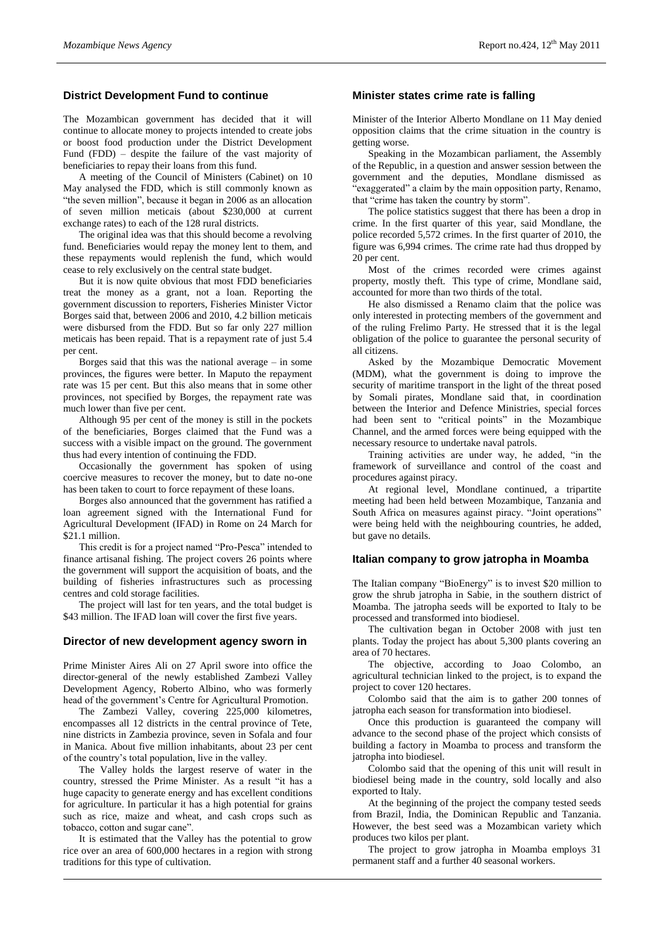# **District Development Fund to continue**

The Mozambican government has decided that it will continue to allocate money to projects intended to create jobs or boost food production under the District Development Fund (FDD) – despite the failure of the vast majority of beneficiaries to repay their loans from this fund.

A meeting of the Council of Ministers (Cabinet) on 10 May analysed the FDD, which is still commonly known as "the seven million", because it began in 2006 as an allocation of seven million meticais (about \$230,000 at current exchange rates) to each of the 128 rural districts.

The original idea was that this should become a revolving fund. Beneficiaries would repay the money lent to them, and these repayments would replenish the fund, which would cease to rely exclusively on the central state budget.

But it is now quite obvious that most FDD beneficiaries treat the money as a grant, not a loan. Reporting the government discussion to reporters, Fisheries Minister Victor Borges said that, between 2006 and 2010, 4.2 billion meticais were disbursed from the FDD. But so far only 227 million meticais has been repaid. That is a repayment rate of just 5.4 per cent.

Borges said that this was the national average  $-$  in some provinces, the figures were better. In Maputo the repayment rate was 15 per cent. But this also means that in some other provinces, not specified by Borges, the repayment rate was much lower than five per cent.

Although 95 per cent of the money is still in the pockets of the beneficiaries, Borges claimed that the Fund was a success with a visible impact on the ground. The government thus had every intention of continuing the FDD.

Occasionally the government has spoken of using coercive measures to recover the money, but to date no-one has been taken to court to force repayment of these loans.

Borges also announced that the government has ratified a loan agreement signed with the International Fund for Agricultural Development (IFAD) in Rome on 24 March for \$21.1 million.

This credit is for a project named "Pro-Pesca" intended to finance artisanal fishing. The project covers 26 points where the government will support the acquisition of boats, and the building of fisheries infrastructures such as processing centres and cold storage facilities.

The project will last for ten years, and the total budget is \$43 million. The IFAD loan will cover the first five years.

#### **Director of new development agency sworn in**

Prime Minister Aires Ali on 27 April swore into office the director-general of the newly established Zambezi Valley Development Agency, Roberto Albino, who was formerly head of the government's Centre for Agricultural Promotion.

The Zambezi Valley, covering 225,000 kilometres, encompasses all 12 districts in the central province of Tete, nine districts in Zambezia province, seven in Sofala and four in Manica. About five million inhabitants, about 23 per cent of the country's total population, live in the valley.

The Valley holds the largest reserve of water in the country, stressed the Prime Minister. As a result "it has a huge capacity to generate energy and has excellent conditions for agriculture. In particular it has a high potential for grains such as rice, maize and wheat, and cash crops such as tobacco, cotton and sugar cane".

It is estimated that the Valley has the potential to grow rice over an area of 600,000 hectares in a region with strong traditions for this type of cultivation.

# **Minister states crime rate is falling**

Minister of the Interior Alberto Mondlane on 11 May denied opposition claims that the crime situation in the country is getting worse.

Speaking in the Mozambican parliament, the Assembly of the Republic, in a question and answer session between the government and the deputies, Mondlane dismissed as "exaggerated" a claim by the main opposition party, Renamo, that "crime has taken the country by storm".

The police statistics suggest that there has been a drop in crime. In the first quarter of this year, said Mondlane, the police recorded 5,572 crimes. In the first quarter of 2010, the figure was 6,994 crimes. The crime rate had thus dropped by 20 per cent.

Most of the crimes recorded were crimes against property, mostly theft. This type of crime, Mondlane said, accounted for more than two thirds of the total.

He also dismissed a Renamo claim that the police was only interested in protecting members of the government and of the ruling Frelimo Party. He stressed that it is the legal obligation of the police to guarantee the personal security of all citizens.

Asked by the Mozambique Democratic Movement (MDM), what the government is doing to improve the security of maritime transport in the light of the threat posed by Somali pirates, Mondlane said that, in coordination between the Interior and Defence Ministries, special forces had been sent to "critical points" in the Mozambique Channel, and the armed forces were being equipped with the necessary resource to undertake naval patrols.

Training activities are under way, he added, "in the framework of surveillance and control of the coast and procedures against piracy.

At regional level, Mondlane continued, a tripartite meeting had been held between Mozambique, Tanzania and South Africa on measures against piracy. "Joint operations" were being held with the neighbouring countries, he added, but gave no details.

#### **Italian company to grow jatropha in Moamba**

The Italian company "BioEnergy" is to invest \$20 million to grow the shrub jatropha in Sabie, in the southern district of Moamba. The jatropha seeds will be exported to Italy to be processed and transformed into biodiesel.

The cultivation began in October 2008 with just ten plants. Today the project has about 5,300 plants covering an area of 70 hectares.

The objective, according to Joao Colombo, an agricultural technician linked to the project, is to expand the project to cover 120 hectares.

Colombo said that the aim is to gather 200 tonnes of jatropha each season for transformation into biodiesel.

Once this production is guaranteed the company will advance to the second phase of the project which consists of building a factory in Moamba to process and transform the jatropha into biodiesel.

Colombo said that the opening of this unit will result in biodiesel being made in the country, sold locally and also exported to Italy.

At the beginning of the project the company tested seeds from Brazil, India, the Dominican Republic and Tanzania. However, the best seed was a Mozambican variety which produces two kilos per plant.

The project to grow jatropha in Moamba employs 31 permanent staff and a further 40 seasonal workers.